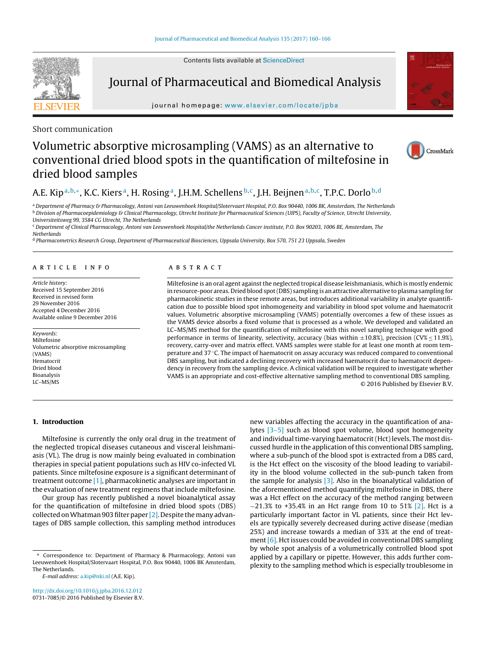Contents lists available at [ScienceDirect](http://www.sciencedirect.com/science/journal/07317085)



Journal of Pharmaceutical and Biomedical Analysis

iournal homepage: www.elsevier.com/locate/ipba



# Short communication

# Volumetric absorptive microsampling (VAMS) as an alternative to conventional dried blood spots in the quantification of miltefosine in dried blood samples



# A.E. Kip<sup>a,b,∗</sup>, K.C. Kiers<sup>a</sup>, H. Rosing<sup>a</sup>, J.H.M. Schellens<sup>b,c</sup>, J.H. Beijnen<sup>a,b,c</sup>, T.P.C. Dorlo<sup>b,d</sup>

<sup>a</sup> Department of Pharmacy & Pharmacology, Antoni van Leeuwenhoek Hospital/Slotervaart Hospital, P.O. Box 90440, 1006 BK, Amsterdam, The Netherlands **b Division of Pharmacoepidemiology & Clinical Pharmacology, Utrecht Institute for Pharmaceutical Sciences (UIPS), Faculty of Science, Utrecht University,** Universiteitsweg 99, 3584 CG Utrecht, The Netherlands

<sup>c</sup> Department of Clinical Pharmacology, Antoni van Leeuwenhoek Hospital/the Netherlands Cancer institute, P.O. Box 90203, 1006 BE, Amsterdam, The

**Netherlands** 

<sup>d</sup> Pharmacometrics Research Group, Department of Pharmaceutical Biosciences, Uppsala University, Box 570, 751 23 Uppsala, Sweden

## a r t i c l e i n f o

Article history: Received 15 September 2016 Received in revised form 29 November 2016 Accepted 4 December 2016 Available online 9 December 2016

Keywords: Miltefosine Volumetric absorptive microsampling (VAMS) Hematocrit Dried blood Bioanalysis LC–MS/MS

# A B S T R A C T

Miltefosine is an oral agent against the neglected tropical disease leishmaniasis, which is mostly endemic in resource-poor areas. Dried blood spot(DBS) sampling is an attractive alternative to plasma sampling for pharmacokinetic studies in these remote areas, but introduces additional variability in analyte quantification due to possible blood spot inhomogeneity and variability in blood spot volume and haematocrit values. Volumetric absorptive microsampling (VAMS) potentially overcomes a few of these issues as the VAMS device absorbs a fixed volume that is processed as a whole. We developed and validated an LC–MS/MS method for the quantification of miltefosine with this novel sampling technique with good performance in terms of linearity, selectivity, accuracy (bias within  $\pm 10.8$ %), precision (CV%  $\leq 11.9$ %), recovery, carry-over and matrix effect. VAMS samples were stable for at least one month at room temperature and 37 ℃. The impact of haematocrit on assay accuracy was reduced compared to conventional DBS sampling, but indicated a declining recovery with increased haematocrit due to haematocrit dependency in recovery from the sampling device. A clinical validation will be required to investigate whether VAMS is an appropriate and cost-effective alternative sampling method to conventional DBS sampling. © 2016 Published by Elsevier B.V.

# **1. Introduction**

Miltefosine is currently the only oral drug in the treatment of the neglected tropical diseases cutaneous and visceral leishmaniasis (VL). The drug is now mainly being evaluated in combination therapies in special patient populations such as HIV co-infected VL patients. Since miltefosine exposure is a significant determinant of treatment outcome [\[1\],](#page-6-0) pharmacokinetic analyses are important in the evaluation of new treatment regimens that include miltefosine.

Our group has recently published a novel bioanalytical assay for the quantification of miltefosine in dried blood spots (DBS) collected on Whatman 903 filter paper  $[2]$ . Despite the many advantages of DBS sample collection, this sampling method introduces

[http://dx.doi.org/10.1016/j.jpba.2016.12.012](dx.doi.org/10.1016/j.jpba.2016.12.012) 0731-7085/© 2016 Published by Elsevier B.V. new variables affecting the accuracy in the quantification of analytes [\[3–5\]](#page-6-0) such as blood spot volume, blood spot homogeneity and individual time-varying haematocrit (Hct) levels. The most discussed hurdle in the application of this conventional DBS sampling, where a sub-punch of the blood spot is extracted from a DBS card, is the Hct effect on the viscosity of the blood leading to variability in the blood volume collected in the sub-punch taken from the sample for analysis  $\left[3\right]$ . Also in the bioanalytical validation of the aforementioned method quantifying miltefosine in DBS, there was a Hct effect on the accuracy of the method ranging between −21.3% to +35.4% in an Hct range from 10 to 51% [\[2\].](#page-6-0) Hct is a particularly important factor in VL patients, since their Hct levels are typically severely decreased during active disease (median 25%) and increase towards a median of 33% at the end of treatment  $[6]$ . Hct issues could be avoided in conventional DBS sampling by whole spot analysis of a volumetrically controlled blood spot applied by a capillary or pipette. However, this adds further complexity to the sampling method which is especially troublesome in

<sup>∗</sup> Correspondence to: Department of Pharmacy & Pharmacology, Antoni van Leeuwenhoek Hospital/Slotervaart Hospital, P.O. Box 90440, 1006 BK Amsterdam, The Netherlands.

E-mail address: [a.kip@nki.nl](mailto:a.kip@nki.nl) (A.E. Kip).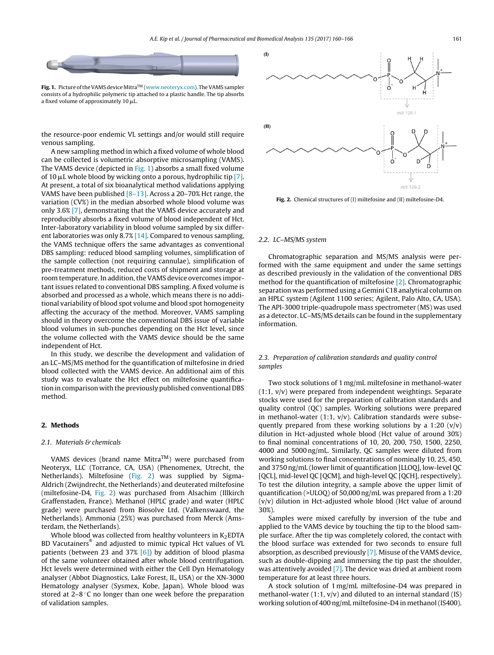<span id="page-1-0"></span>

**Fig. 1.** Picture of the VAMS device Mitra™ [\(www.neoteryx.com\)](http://www.neoteryx.com). The VAMS sampler consists of a hydrophilic polymeric tip attached to a plastic handle. The tip absorbs a fixed volume of approximately 10  $\mu$ L.

the resource-poor endemic VL settings and/or would still require venous sampling.

A new sampling method in which a fixed volume of whole blood can be collected is volumetric absorptive microsampling (VAMS). The VAMS device (depicted in Fig. 1) absorbs a small fixed volume of 10 µL whole blood by wicking onto a porous, hydrophilic tip [\[7\].](#page-6-0) At present, a total of six bioanalytical method validations applying VAMS have been published  $[8-13]$ . Across a 20–70% Hct range, the variation (CV%) in the median absorbed whole blood volume was only 3.6% [\[7\],](#page-6-0) demonstrating that the VAMS device accurately and reproducibly absorbs a fixed volume of blood independent of Hct. Inter-laboratory variability in blood volume sampled by six different laboratories was only 8.7% [\[14\].](#page-6-0) Compared to venous sampling, the VAMS technique offers the same advantages as conventional DBS sampling: reduced blood sampling volumes, simplification of the sample collection (not requiring cannulae), simplification of pre-treatment methods, reduced costs of shipment and storage at room temperature. In addition, the VAMS device overcomes important issues related to conventional DBS sampling. A fixed volume is absorbed and processed as a whole, which means there is no additional variability of blood spot volume and blood spot homogeneity affecting the accuracy of the method. Moreover, VAMS sampling should in theory overcome the conventional DBS issue of variable blood volumes in sub-punches depending on the Hct level, since the volume collected with the VAMS device should be the same independent of Hct.

In this study, we describe the development and validation of an LC–MS/MS method for the quantification of miltefosine in dried blood collected with the VAMS device. An additional aim of this study was to evaluate the Hct effect on miltefosine quantification in comparison with the previously published conventional DBS method.

### **2. Methods**

#### 2.1. Materials & chemicals

VAMS devices (brand name Mitra<sup>TM</sup>) were purchased from Neoteryx, LLC (Torrance, CA, USA) (Phenomenex, Utrecht, the Netherlands). Miltefosine (Fig. 2) was supplied by Sigma-Aldrich (Zwijndrecht, the Netherlands) and deuterated miltefosine (miltefosine-D4, Fig. 2) was purchased from Alsachim (Illkirch Graffenstaden, France). Methanol (HPLC grade) and water (HPLC grade) were purchased from Biosolve Ltd. (Valkenswaard, the Netherlands). Ammonia (25%) was purchased from Merck (Amsterdam, the Netherlands).

Whole blood was collected from healthy volunteers in  $K_2$ EDTA BD Vacutainers® and adjusted to mimic typical Hct values of VL patients (between 23 and 37%  $[6]$ ) by addition of blood plasma of the same volunteer obtained after whole blood centrifugation. Hct levels were determined with either the Cell Dyn Hematology analyser (Abbot Diagnostics, Lake Forest, IL, USA) or the XN-3000 Hematology analyser (Sysmex, Kobe, Japan). Whole blood was stored at 2–8 ◦C no longer than one week before the preparation of validation samples.



**Fig. 2.** Chemical structures of (I) miltefosine and (II) miltefosine-D4.

## 2.2. LC–MS/MS system

Chromatographic separation and MS/MS analysis were performed with the same equipment and under the same settings as described previously in the validation of the conventional DBS method for the quantification of miltefosine [\[2\].](#page-6-0) Chromatographic separation was performed using a Gemini C18 analytical column on an HPLC system (Agilent 1100 series; Agilent, Palo Alto, CA, USA). The API-3000 triple-quadrupole mass spectrometer (MS) was used as a detector. LC–MS/MS details can be found in the supplementary information.

# 2.3. Preparation of calibration standards and quality control samples

Two stock solutions of 1 mg/mL miltefosine in methanol-water (1:1, v/v) were prepared from independent weightings. Separate stocks were used for the preparation of calibration standards and quality control (QC) samples. Working solutions were prepared in methanol-water (1:1,  $v/v$ ). Calibration standards were subsequently prepared from these working solutions by a 1:20  $(v/v)$ dilution in Hct-adjusted whole blood (Hct value of around 30%) to final nominal concentrations of 10, 20, 200, 750, 1500, 2250, 4000 and 5000 ng/mL. Similarly, QC samples were diluted from working solutions to final concentrations of nominally 10, 25, 450, and 3750 ng/mL (lower limit of quantification [LLOQ], low-level QC [QCL], mid-level QC [QCM], and high-level QC [QCH], respectively). To test the dilution integrity, a sample above the upper limit of quantification (>ULOQ) of 50,000 ng/mL was prepared from a 1:20 (v/v) dilution in Hct-adjusted whole blood (Hct value of around 30%).

Samples were mixed carefully by inversion of the tube and applied to the VAMS device by touching the tip to the blood sample surface. After the tip was completely colored, the contact with the blood surface was extended for two seconds to ensure full absorption, as described previously [\[7\].](#page-6-0) Misuse of the VAMS device, such as double-dipping and immersing the tip past the shoulder, was attentively avoided [\[7\].](#page-6-0) The device was dried at ambient room temperature for at least three hours.

A stock solution of 1 mg/mL miltefosine-D4 was prepared in methanol-water  $(1:1, v/v)$  and diluted to an internal standard  $(IS)$ working solution of 400 ng/mL miltefosine-D4 in methanol (IS400).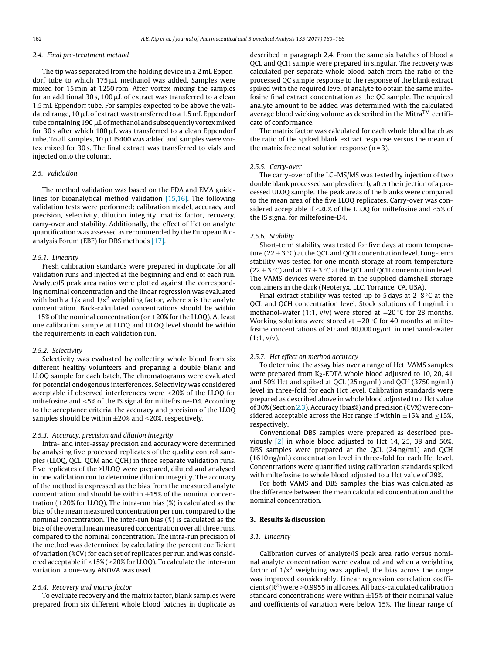#### 2.4. Final pre-treatment method

The tip was separated from the holding device in a 2 mL Eppendorf tube to which 175 µL methanol was added. Samples were mixed for 15 min at 1250 rpm. After vortex mixing the samples for an additional 30 s, 100  $\rm \mu L$  of extract was transferred to a clean 1.5 mL Eppendorf tube. For samples expected to be above the validated range, 10  $\rm \mu L$  of extract was transferred to a 1.5 mL Eppendorf tube containing 190 µL of methanol and subsequently vortex mixed for 30s after which 100  $\mu$ L was transferred to a clean Eppendorf tube. To all samples, 10  $\rm \mu L$  IS400 was added and samples were vortex mixed for 30 s. The final extract was transferred to vials and injected onto the column.

#### 2.5. Validation

The method validation was based on the FDA and EMA guidelines for bioanalytical method validation [\[15,16\].](#page-6-0) The following validation tests were performed: calibration model, accuracy and precision, selectivity, dilution integrity, matrix factor, recovery, carry-over and stability. Additionally, the effect of Hct on analyte quantification was assessed as recommended by the European Bioanalysis Forum (EBF) for DBS methods [\[17\].](#page-6-0)

#### 2.5.1. Linearity

Fresh calibration standards were prepared in duplicate for all validation runs and injected at the beginning and end of each run. Analyte/IS peak area ratios were plotted against the corresponding nominal concentration and the linear regression was evaluated with both a  $1/x$  and  $1/x^2$  weighting factor, where x is the analyte concentration. Back-calculated concentrations should be within  $\pm$ 15% of the nominal concentration (or  $\pm$ 20% for the LLOQ). At least one calibration sample at LLOQ and ULOQ level should be within the requirements in each validation run.

#### 2.5.2. Selectivity

Selectivity was evaluated by collecting whole blood from six different healthy volunteers and preparing a double blank and LLOQ sample for each batch. The chromatograms were evaluated for potential endogenous interferences. Selectivity was considered acceptable if observed interferences were ≤20% of the LLOQ for miltefosine and  $\leq$ 5% of the IS signal for miltefosine-D4. According to the acceptance criteria, the accuracy and precision of the LLOQ samples should be within  $\pm 20\%$  and  $\leq 20\%$ , respectively.

# 2.5.3. Accuracy, precision and dilution integrity

Intra- and inter-assay precision and accuracy were determined by analysing five processed replicates of the quality control samples (LLOQ, QCL, QCM and QCH) in three separate validation runs. Five replicates of the >ULOQ were prepared, diluted and analysed in one validation run to determine dilution integrity. The accuracy of the method is expressed as the bias from the measured analyte concentration and should be within  $\pm 15\%$  of the nominal concentration ( $\pm$ 20% for LLOQ). The intra-run bias (%) is calculated as the bias of the mean measured concentration per run, compared to the nominal concentration. The inter-run bias (%) is calculated as the bias of the overall mean measured concentration over all three runs, compared to the nominal concentration. The intra-run precision of the method was determined by calculating the percent coefficient of variation (%CV) for each set of replicates per run and was considered acceptable if  $\leq$ 15% ( $\leq$ 20% for LLOQ). To calculate the inter-run variation, a one-way ANOVA was used.

#### 2.5.4. Recovery and matrix factor

To evaluate recovery and the matrix factor, blank samples were prepared from six different whole blood batches in duplicate as described in paragraph 2.4. From the same six batches of blood a QCL and QCH sample were prepared in singular. The recovery was calculated per separate whole blood batch from the ratio of the processed QC sample response to the response of the blank extract spiked with the required level of analyte to obtain the same miltefosine final extract concentration as the QC sample. The required analyte amount to be added was determined with the calculated average blood wicking volume as described in the Mitra<sup>TM</sup> certificate of conformance.

The matrix factor was calculated for each whole blood batch as the ratio of the spiked blank extract response versus the mean of the matrix free neat solution response  $(n=3)$ .

#### 2.5.5. Carry-over

The carry-over of the LC–MS/MS was tested by injection of two double blank processed samples directly after the injection of a processed ULOQ sample. The peak areas of the blanks were compared to the mean area of the five LLOQ replicates. Carry-over was considered acceptable if  $\leq$ 20% of the LLOQ for miltefosine and  $\leq$ 5% of the IS signal for miltefosine-D4.

#### 2.5.6. Stability

Short-term stability was tested for five days at room temperature ( $22 \pm 3$  °C) at the QCL and QCH concentration level. Long-term stability was tested for one month storage at room temperature  $(22 \pm 3 \degree C)$  and at 37  $\pm$  3  $\degree C$  at the QCL and QCH concentration level. The VAMS devices were stored in the supplied clamshell storage containers in the dark (Neoteryx, LLC, Torrance, CA, USA).

Final extract stability was tested up to 5 days at  $2-8$  °C at the QCL and QCH concentration level. Stock solutions of 1 mg/mL in methanol-water (1:1,  $v/v$ ) were stored at  $-20$  °C for 28 months. Working solutions were stored at −20 °C for 40 months at miltefosine concentrations of 80 and 40,000 ng/mL in methanol-water  $(1:1, v/v)$ .

# 2.5.7. Hct effect on method accuracy

To determine the assay bias over a range of Hct, VAMS samples were prepared from  $K_2$ -EDTA whole blood adjusted to 10, 20, 41 and 50% Hct and spiked at QCL (25 ng/mL) and QCH (3750 ng/mL) level in three-fold for each Hct level. Calibration standards were prepared as described above in whole blood adjusted to a Hct value of 30% (Section [2.3\).](#page-1-0)Accuracy (bias%) and precision (CV%) were considered acceptable across the Hct range if within  $\pm 15\%$  and  $\leq 15\%$ , respectively.

Conventional DBS samples were prepared as described previously [\[2\]](#page-6-0) in whole blood adjusted to Hct 14, 25, 38 and 50%. DBS samples were prepared at the QCL (24 ng/mL) and QCH (1610 ng/mL) concentration level in three-fold for each Hct level. Concentrations were quantified using calibration standards spiked with miltefosine to whole blood adjusted to a Hct value of 29%.

For both VAMS and DBS samples the bias was calculated as the difference between the mean calculated concentration and the nominal concentration.

# **3. Results & discussion**

## 3.1. Linearity

Calibration curves of analyte/IS peak area ratio versus nominal analyte concentration were evaluated and when a weighting factor of  $1/x^2$  weighting was applied, the bias across the range was improved considerably. Linear regression correlation coefficients ( $\mathbb{R}^2$ ) were  $\geq$ 0.9955 in all cases. All back-calculated calibration standard concentrations were within  $\pm 15\%$  of their nominal value and coefficients of variation were below 15%. The linear range of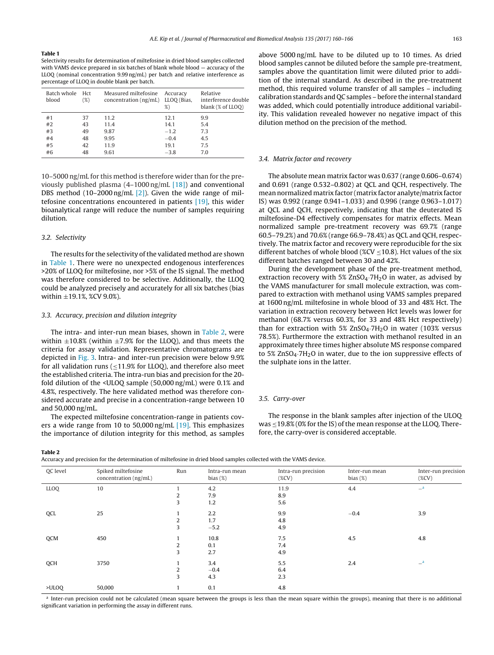#### **Table 1**

Selectivity results for determination of miltefosine in dried blood samples collected with VAMS device prepared in six batches of blank whole blood — accuracy of the LLOQ (nominal concentration 9.99 ng/mL) per batch and relative interference as percentage of LLOQ in double blank per batch.

| Batch whole<br>Hct<br>blood<br>$(\%)$ |    | Measured miltefosine<br>concentration (ng/mL) LLOQ (Bias, | Accuracy<br>% | Relative<br>interference double<br>blank (% of LLOO) |  |
|---------------------------------------|----|-----------------------------------------------------------|---------------|------------------------------------------------------|--|
| #1                                    | 37 | 11.2                                                      | 12.1          | 9.9                                                  |  |
| #2                                    | 43 | 11.4                                                      | 14.1          | 5.4                                                  |  |
| #3                                    | 49 | 9.87                                                      | $-1.2$        | 7.3                                                  |  |
| #4                                    | 48 | 9.95                                                      | $-0.4$        | 4.5                                                  |  |
| #5                                    | 42 | 11.9                                                      | 19.1          | 7.5                                                  |  |
| #6                                    | 48 | 9.61                                                      | $-3.8$        | 7.0                                                  |  |

10–5000 ng/mL for this method is therefore wider than for the previously published plasma (4–1000 ng/mL [\[18\]\)](#page-6-0) and conventional DBS method (10-2000 ng/mL [\[2\]\).](#page-6-0) Given the wide range of miltefosine concentrations encountered in patients [\[19\],](#page-6-0) this wider bioanalytical range will reduce the number of samples requiring dilution.

# 3.2. Selectivity

The results for the selectivity of the validated method are shown in Table 1. There were no unexpected endogenous interferences >20% of LLOQ for miltefosine, nor >5% of the IS signal. The method was therefore considered to be selective. Additionally, the LLOQ could be analyzed precisely and accurately for all six batches (bias within  $\pm$ 19.1%, %CV 9.0%).

#### 3.3. Accuracy, precision and dilution integrity

The intra- and inter-run mean biases, shown in Table 2, were within  $\pm 10.8\%$  (within  $\pm 7.9\%$  for the LLOQ), and thus meets the criteria for assay validation. Representative chromatograms are depicted in [Fig.](#page-4-0) 3. Intra- and inter-run precision were below 9.9% for all validation runs ( $\leq$ 11.9% for LLOQ), and therefore also meet the established criteria. The intra-run bias and precision for the 20 fold dilution of the <ULOQ sample (50,000 ng/mL) were 0.1% and 4.8%, respectively. The here validated method was therefore considered accurate and precise in a concentration-range between 10 and 50,000 ng/mL.

The expected miltefosine concentration-range in patients cov-ers a wide range from 10 to 50,000 ng/mL [\[19\].](#page-6-0) This emphasizes the importance of dilution integrity for this method, as samples above 5000 ng/mL have to be diluted up to 10 times. As dried blood samples cannot be diluted before the sample pre-treatment, samples above the quantitation limit were diluted prior to addition of the internal standard. As described in the pre-treatment method, this required volume transfer of all samples – including calibration standards and QC samples – before the internal standard was added, which could potentially introduce additional variability. This validation revealed however no negative impact of this dilution method on the precision of the method.

## 3.4. Matrix factor and recovery

The absolute mean matrix factor was 0.637 (range 0.606–0.674) and 0.691 (range 0.532–0.802) at QCL and QCH, respectively. The mean normalized matrix factor (matrix factor analyte/matrix factor IS) was 0.992 (range 0.941–1.033) and 0.996 (range 0.963–1.017) at QCL and QCH, respectively, indicating that the deuterated IS miltefosine-D4 effectively compensates for matrix effects. Mean normalized sample pre-treatment recovery was 69.7% (range 60.5–79.2%) and 70.6% (range 66.9–78.4%) as QCL and QCH, respectively. The matrix factor and recovery were reproducible for the six different batches of whole blood (%CV  $\leq$ 10.8). Hct values of the six different batches ranged between 30 and 42%.

During the development phase of the pre-treatment method, extraction recovery with  $5\%$  ZnSO<sub>4</sub> $-7H<sub>2</sub>O$  in water, as advised by the VAMS manufacturer for small molecule extraction, was compared to extraction with methanol using VAMS samples prepared at 1600 ng/mL miltefosine in whole blood of 33 and 48% Hct. The variation in extraction recovery between Hct levels was lower for methanol (68.7% versus 60.3%, for 33 and 48% Hct respectively) than for extraction with  $5\%$  ZnSO<sub>4</sub> $\cdot$ 7H<sub>2</sub>O in water (103% versus 78.5%). Furthermore the extraction with methanol resulted in an approximately three times higher absolute MS response compared to  $5\%$  ZnSO<sub>4</sub> $\cdot$ 7H<sub>2</sub>O in water, due to the ion suppressive effects of the sulphate ions in the latter.

## 3.5. Carry-over

The response in the blank samples after injection of the ULOQ was  $\leq$ 19.8% (0% for the IS) of the mean response at the LLOQ. Therefore, the carry-over is considered acceptable.

#### **Table 2**

Accuracy and precision for the determination of miltefosine in dried blood samples collected with the VAMS device.

| OC level    | Spiked miltefosine<br>concentration (ng/mL) | Run | Intra-run mean<br>bias $(\%)$ | Intra-run precision<br>$(\%CV)$ | Inter-run mean<br>bias $(\%)$ | Inter-run precision<br>$(\%CV)$ |
|-------------|---------------------------------------------|-----|-------------------------------|---------------------------------|-------------------------------|---------------------------------|
| <b>LLOQ</b> | 10                                          |     | 4.2                           | 11.9                            | 4.4                           | $\equiv$ a                      |
|             |                                             | 2   | 7.9                           | 8.9                             |                               |                                 |
|             |                                             | 3   | 1.2                           | 5.6                             |                               |                                 |
| QCL         | 25                                          |     | 2.2                           | 9.9                             | $-0.4$                        | 3.9                             |
|             |                                             | 2   | 1.7                           | 4.8                             |                               |                                 |
|             |                                             | 3   | $-5.2$                        | 4.9                             |                               |                                 |
| QCM         | 450                                         |     | 10.8                          | 7.5                             | 4.5                           | 4.8                             |
|             |                                             | 2   | 0.1                           | 7.4                             |                               |                                 |
|             |                                             | 3   | 2.7                           | 4.9                             |                               |                                 |
| QCH         | 3750                                        |     | 3.4                           | 5.5                             | 2.4                           | $=$ a                           |
|             |                                             | 2   | $-0.4$                        | 6.4                             |                               |                                 |
|             |                                             | 3   | 4.3                           | 2.3                             |                               |                                 |
| >ULOO       | 50,000                                      | и   | 0.1                           | 4.8                             |                               |                                 |

a Inter-run precision could not be calculated (mean square between the groups is less than the mean square within the groups), meaning that there is no additional significant variation in performing the assay in different runs.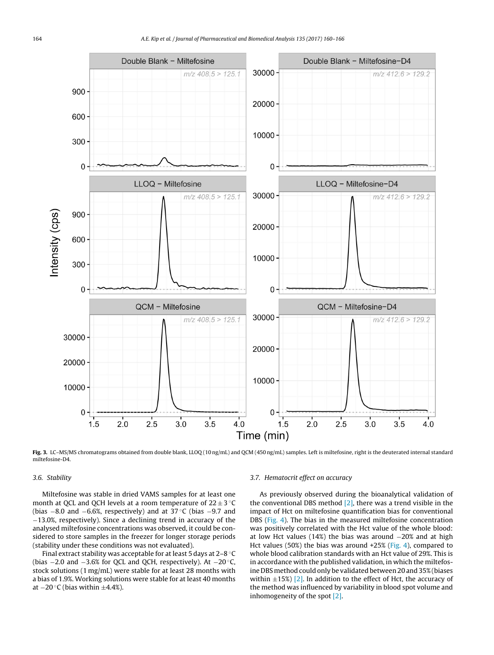<span id="page-4-0"></span>

**Fig. 3.** LC–MS/MS chromatograms obtained from double blank, LLOQ (10 ng/mL) and QCM (450 ng/mL) samples. Left is miltefosine, right is the deuterated internal standard miltefosine-D4.

# 3.6. Stability

Miltefosine was stable in dried VAMS samples for at least one month at QCL and QCH levels at a room temperature of  $22 \pm 3$  °C (bias −8.0 and −6.6%, respectively) and at 37 ◦C (bias −9.7 and −13.0%, respectively). Since a declining trend in accuracy of the analysed miltefosine concentrations was observed, it could be considered to store samples in the freezer for longer storage periods (stability under these conditions was not evaluated).

Final extract stability was acceptable for at least 5 days at 2–8 ◦C (bias −2.0 and −3.6% for QCL and QCH, respectively). At −20 ◦C, stock solutions (1 mg/mL) were stable for at least 28 months with a bias of 1.9%. Working solutions were stable for at least 40 months at  $-20$  °C (bias within  $\pm 4.4\%$ ).

#### 3.7. Hematocrit effect on accuracy

As previously observed during the bioanalytical validation of the conventional DBS method  $[2]$ , there was a trend visible in the impact of Hct on miltefosine quantification bias for conventional DBS ([Fig.](#page-5-0) 4). The bias in the measured miltefosine concentration was positively correlated with the Hct value of the whole blood: at low Hct values (14%) the bias was around  $-20%$  and at high Hct values (50%) the bias was around +25% [\(Fig.](#page-5-0) 4), compared to whole blood calibration standards with an Hct value of 29%. This is in accordance with the published validation, in which the miltefosine DBS method could only be validated between 20 and 35%(biases within  $\pm$ 15%) [\[2\].](#page-6-0) In addition to the effect of Hct, the accuracy of the method was influenced by variability in blood spot volume and inhomogeneity of the spot [\[2\].](#page-6-0)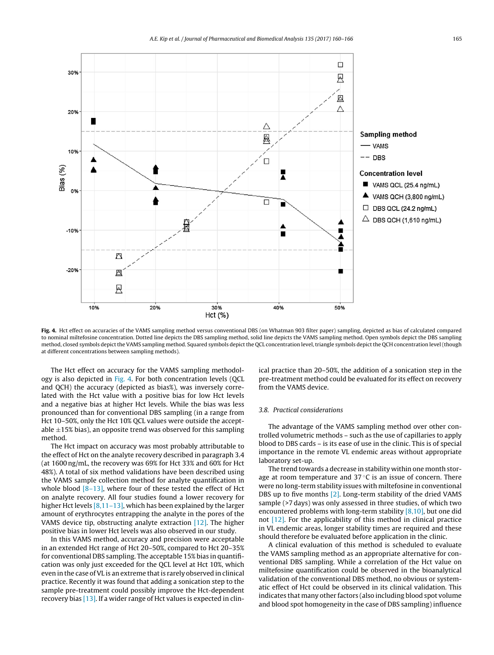<span id="page-5-0"></span>

**Fig. 4.** Hct effect on accuracies of the VAMS sampling method versus conventional DBS (on Whatman 903 filter paper) sampling, depicted as bias of calculated compared to nominal miltefosine concentration. Dotted line depicts the DBS sampling method, solid line depicts the VAMS sampling method. Open symbols depict the DBS sampling method, closed symbols depictthe VAMS sampling method. Squared symbols depictthe QCL concentration level,triangle symbols depictthe QCH concentration level (though at different concentrations between sampling methods).

The Hct effect on accuracy for the VAMS sampling methodology is also depicted in Fig. 4. For both concentration levels (QCL and QCH) the accuracy (depicted as bias%), was inversely correlated with the Hct value with a positive bias for low Hct levels and a negative bias at higher Hct levels. While the bias was less pronounced than for conventional DBS sampling (in a range from Hct 10–50%, only the Hct 10% QCL values were outside the acceptable  $\pm$ 15% bias), an opposite trend was observed for this sampling method.

The Hct impact on accuracy was most probably attributable to the effect of Hct on the analyte recovery described in paragraph 3.4 (at 1600 ng/mL, the recovery was 69% for Hct 33% and 60% for Hct 48%). A total of six method validations have been described using the VAMS sample collection method for analyte quantification in whole blood  $[8-13]$ , where four of these tested the effect of Hct on analyte recovery. All four studies found a lower recovery for higher Hct levels [8,11-13], which has been explained by the larger amount of erythrocytes entrapping the analyte in the pores of the VAMS device tip, obstructing analyte extraction [\[12\].](#page-6-0) The higher positive bias in lower Hct levels was also observed in our study.

In this VAMS method, accuracy and precision were acceptable in an extended Hct range of Hct 20–50%, compared to Hct 20–35% for conventional DBS sampling. The acceptable 15% bias in quantification was only just exceeded for the QCL level at Hct 10%, which even in the case of VL is an extreme that is rarely observed in clinical practice. Recently it was found that adding a sonication step to the sample pre-treatment could possibly improve the Hct-dependent recovery bias [\[13\].](#page-6-0) If a wider range of Hct values is expected in clinical practice than 20–50%, the addition of a sonication step in the pre-treatment method could be evaluated for its effect on recovery from the VAMS device.

#### 3.8. Practical considerations

The advantage of the VAMS sampling method over other controlled volumetric methods – such as the use of capillaries to apply blood to DBS cards – is its ease of use in the clinic. This is of special importance in the remote VL endemic areas without appropriate laboratory set-up.

The trend towards a decrease in stability within one month storage at room temperature and  $37^{\circ}$ C is an issue of concern. There were no long-term stability issues with miltefosine in conventional DBS up to five months [\[2\].](#page-6-0) Long-term stability of the dried VAMS sample (>7 days) was only assessed in three studies, of which two encountered problems with long-term stability [\[8,10\],](#page-6-0) but one did not [\[12\].](#page-6-0) For the applicability of this method in clinical practice in VL endemic areas, longer stability times are required and these should therefore be evaluated before application in the clinic.

A clinical evaluation of this method is scheduled to evaluate the VAMS sampling method as an appropriate alternative for conventional DBS sampling. While a correlation of the Hct value on miltefosine quantification could be observed in the bioanalytical validation of the conventional DBS method, no obvious or systematic effect of Hct could be observed in its clinical validation. This indicates that many other factors (also including blood spot volume and blood spot homogeneity in the case of DBS sampling) influence